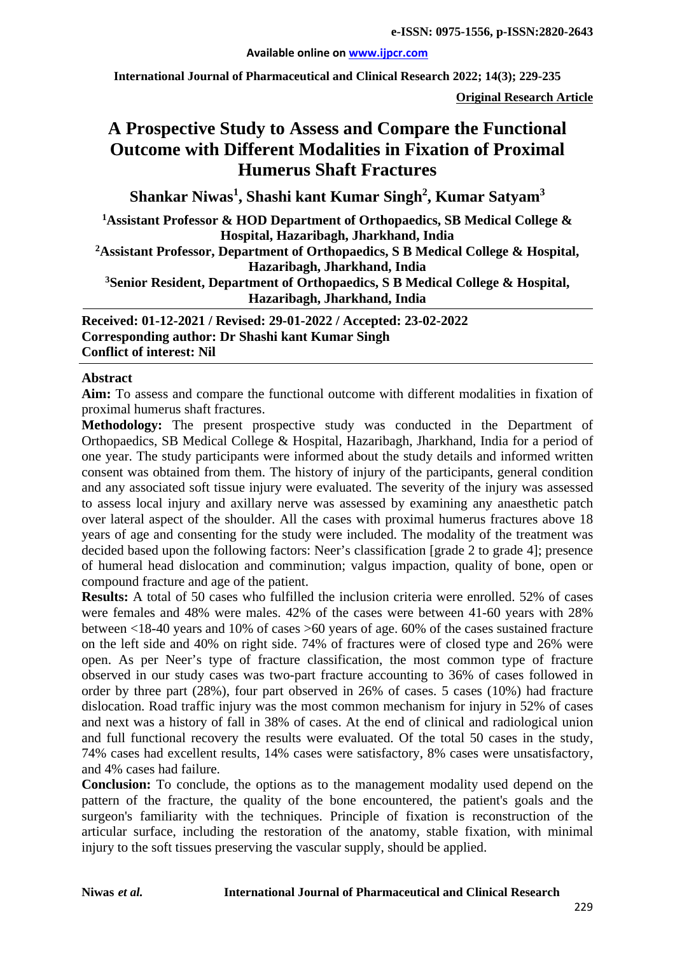#### **Available online on [www.ijpcr.com](http://www.ijpcr.com/)**

**International Journal of Pharmaceutical and Clinical Research 2022; 14(3); 229-235**

**Original Research Article**

# **A Prospective Study to Assess and Compare the Functional Outcome with Different Modalities in Fixation of Proximal Humerus Shaft Fractures**

**Shankar Niwas<sup>1</sup> , Shashi kant Kumar Singh2 , Kumar Satyam3**

**1 Assistant Professor & HOD Department of Orthopaedics, SB Medical College & Hospital, Hazaribagh, Jharkhand, India**

**2Assistant Professor, Department of Orthopaedics, S B Medical College & Hospital, Hazaribagh, Jharkhand, India**

**3Senior Resident, Department of Orthopaedics, S B Medical College & Hospital, Hazaribagh, Jharkhand, India**

**Received: 01-12-2021 / Revised: 29-01-2022 / Accepted: 23-02-2022 Corresponding author: Dr Shashi kant Kumar Singh Conflict of interest: Nil**

#### **Abstract**

**Aim:** To assess and compare the functional outcome with different modalities in fixation of proximal humerus shaft fractures.

**Methodology:** The present prospective study was conducted in the Department of Orthopaedics, SB Medical College & Hospital, Hazaribagh, Jharkhand, India for a period of one year. The study participants were informed about the study details and informed written consent was obtained from them. The history of injury of the participants, general condition and any associated soft tissue injury were evaluated. The severity of the injury was assessed to assess local injury and axillary nerve was assessed by examining any anaesthetic patch over lateral aspect of the shoulder. All the cases with proximal humerus fractures above 18 years of age and consenting for the study were included. The modality of the treatment was decided based upon the following factors: Neer's classification [grade 2 to grade 4]; presence of humeral head dislocation and comminution; valgus impaction, quality of bone, open or compound fracture and age of the patient.

**Results:** A total of 50 cases who fulfilled the inclusion criteria were enrolled. 52% of cases were females and 48% were males. 42% of the cases were between 41-60 years with 28% between <18-40 years and 10% of cases >60 years of age. 60% of the cases sustained fracture on the left side and 40% on right side. 74% of fractures were of closed type and 26% were open. As per Neer's type of fracture classification, the most common type of fracture observed in our study cases was two-part fracture accounting to 36% of cases followed in order by three part (28%), four part observed in 26% of cases. 5 cases (10%) had fracture dislocation. Road traffic injury was the most common mechanism for injury in 52% of cases and next was a history of fall in 38% of cases. At the end of clinical and radiological union and full functional recovery the results were evaluated. Of the total 50 cases in the study, 74% cases had excellent results, 14% cases were satisfactory, 8% cases were unsatisfactory, and 4% cases had failure.

**Conclusion:** To conclude, the options as to the management modality used depend on the pattern of the fracture, the quality of the bone encountered, the patient's goals and the surgeon's familiarity with the techniques. Principle of fixation is reconstruction of the articular surface, including the restoration of the anatomy, stable fixation, with minimal injury to the soft tissues preserving the vascular supply, should be applied.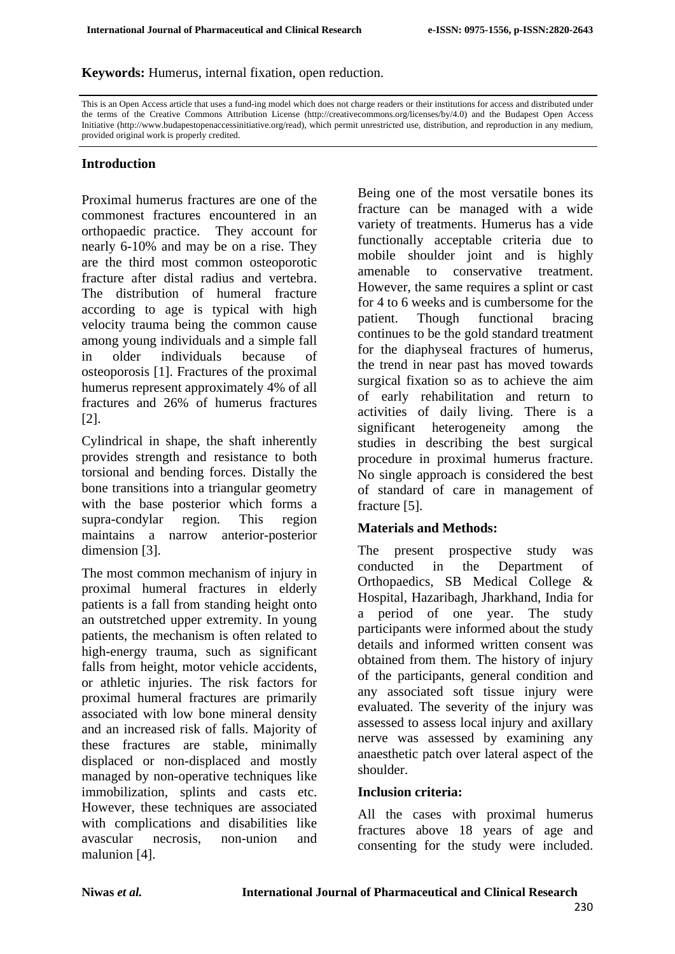**Keywords:** Humerus, internal fixation, open reduction.

This is an Open Access article that uses a fund-ing model which does not charge readers or their institutions for access and distributed under the terms of the Creative Commons Attribution License (http://creativecommons.org/licenses/by/4.0) and the Budapest Open Access Initiative (http://www.budapestopenaccessinitiative.org/read), which permit unrestricted use, distribution, and reproduction in any medium, provided original work is properly credited.

#### **Introduction**

Proximal humerus fractures are one of the commonest fractures encountered in an orthopaedic practice. They account for nearly 6-10% and may be on a rise. They are the third most common osteoporotic fracture after distal radius and vertebra. The distribution of humeral fracture according to age is typical with high velocity trauma being the common cause among young individuals and a simple fall in older individuals because of osteoporosis [1]. Fractures of the proximal humerus represent approximately 4% of all fractures and 26% of humerus fractures [2].

Cylindrical in shape, the shaft inherently provides strength and resistance to both torsional and bending forces. Distally the bone transitions into a triangular geometry with the base posterior which forms a supra-condylar region. This region maintains a narrow anterior-posterior dimension [3].

The most common mechanism of injury in proximal humeral fractures in elderly patients is a fall from standing height onto an outstretched upper extremity. In young patients, the mechanism is often related to high-energy trauma, such as significant falls from height, motor vehicle accidents, or athletic injuries. The risk factors for proximal humeral fractures are primarily associated with low bone mineral density and an increased risk of falls. Majority of these fractures are stable, minimally displaced or non-displaced and mostly managed by non-operative techniques like immobilization, splints and casts etc. However, these techniques are associated with complications and disabilities like avascular necrosis, non-union and malunion [4].

Being one of the most versatile bones its fracture can be managed with a wide variety of treatments. Humerus has a vide functionally acceptable criteria due to mobile shoulder joint and is highly amenable to conservative treatment. However, the same requires a splint or cast for 4 to 6 weeks and is cumbersome for the patient. Though functional bracing continues to be the gold standard treatment for the diaphyseal fractures of humerus, the trend in near past has moved towards surgical fixation so as to achieve the aim of early rehabilitation and return to activities of daily living. There is a significant heterogeneity among the studies in describing the best surgical procedure in proximal humerus fracture. No single approach is considered the best of standard of care in management of fracture [5].

#### **Materials and Methods:**

The present prospective study was conducted in the Department of Orthopaedics, SB Medical College & Hospital, Hazaribagh, Jharkhand, India for a period of one year. The study participants were informed about the study details and informed written consent was obtained from them. The history of injury of the participants, general condition and any associated soft tissue injury were evaluated. The severity of the injury was assessed to assess local injury and axillary nerve was assessed by examining any anaesthetic patch over lateral aspect of the shoulder.

#### **Inclusion criteria:**

All the cases with proximal humerus fractures above 18 years of age and consenting for the study were included.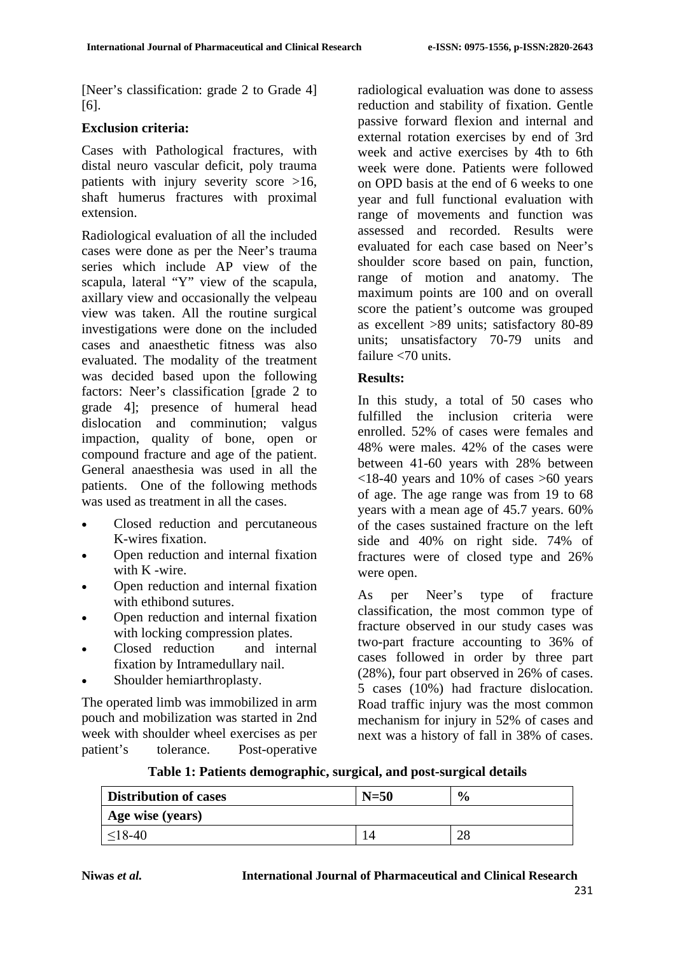[Neer's classification: grade 2 to Grade 4] [6].

### **Exclusion criteria:**

Cases with Pathological fractures, with distal neuro vascular deficit, poly trauma patients with injury severity score >16, shaft humerus fractures with proximal extension.

Radiological evaluation of all the included cases were done as per the Neer's trauma series which include AP view of the scapula, lateral "Y" view of the scapula, axillary view and occasionally the velpeau view was taken. All the routine surgical investigations were done on the included cases and anaesthetic fitness was also evaluated. The modality of the treatment was decided based upon the following factors: Neer's classification [grade 2 to grade 4]; presence of humeral head dislocation and comminution; valgus impaction, quality of bone, open or compound fracture and age of the patient. General anaesthesia was used in all the patients. One of the following methods was used as treatment in all the cases.

- Closed reduction and percutaneous K-wires fixation.
- Open reduction and internal fixation with K -wire.
- Open reduction and internal fixation with ethibond sutures.
- Open reduction and internal fixation with locking compression plates.
- Closed reduction and internal fixation by Intramedullary nail.
- Shoulder hemiarthroplasty.

The operated limb was immobilized in arm pouch and mobilization was started in 2nd week with shoulder wheel exercises as per patient's tolerance. Post-operative radiological evaluation was done to assess reduction and stability of fixation. Gentle passive forward flexion and internal and external rotation exercises by end of 3rd week and active exercises by 4th to 6th week were done. Patients were followed on OPD basis at the end of 6 weeks to one year and full functional evaluation with range of movements and function was assessed and recorded. Results were evaluated for each case based on Neer's shoulder score based on pain, function, range of motion and anatomy. The maximum points are 100 and on overall score the patient's outcome was grouped as excellent >89 units; satisfactory 80-89 units; unsatisfactory 70-79 units and failure <70 units.

### **Results:**

In this study, a total of 50 cases who fulfilled the inclusion criteria were enrolled. 52% of cases were females and 48% were males. 42% of the cases were between 41-60 years with 28% between  $\langle 18-40 \rangle$  years and 10% of cases  $>60$  years of age. The age range was from 19 to 68 years with a mean age of 45.7 years. 60% of the cases sustained fracture on the left side and 40% on right side. 74% of fractures were of closed type and 26% were open.

As per Neer's type of fracture classification, the most common type of fracture observed in our study cases was two-part fracture accounting to 36% of cases followed in order by three part (28%), four part observed in 26% of cases. 5 cases (10%) had fracture dislocation. Road traffic injury was the most common mechanism for injury in 52% of cases and next was a history of fall in 38% of cases.

| <b>Distribution of cases</b> | $N=50$ | $\frac{0}{0}$ |
|------------------------------|--------|---------------|
| Age wise (years)             |        |               |
| $\leq 18-40$                 |        | 28            |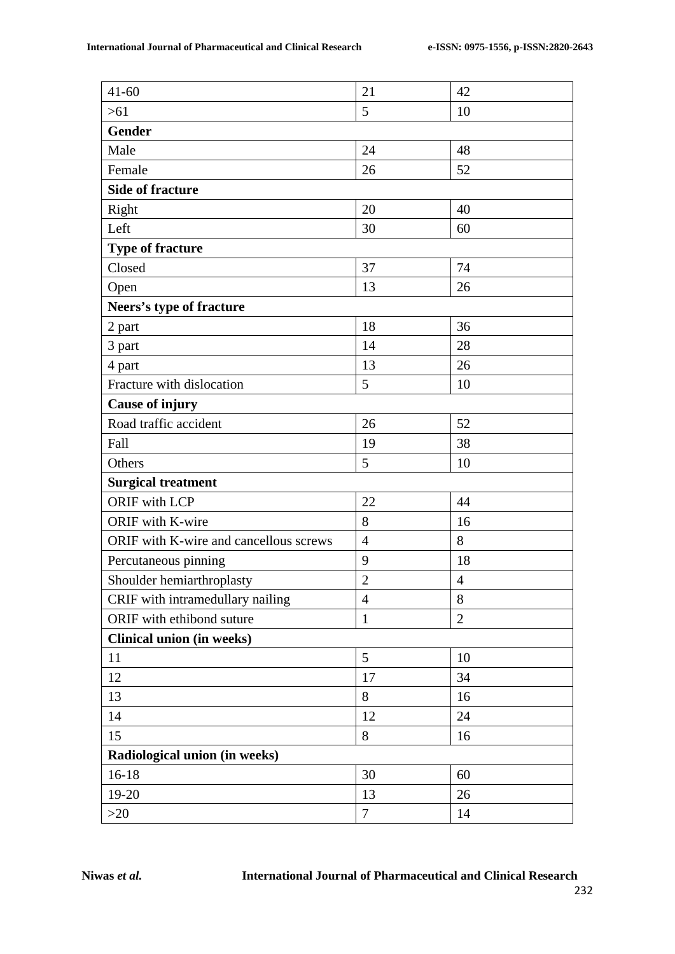| $41 - 60$                              | 21             | 42             |  |  |  |  |
|----------------------------------------|----------------|----------------|--|--|--|--|
| $>61$                                  | 5              | 10             |  |  |  |  |
| <b>Gender</b>                          |                |                |  |  |  |  |
| Male                                   | 24             | 48             |  |  |  |  |
| Female                                 | 26             | 52             |  |  |  |  |
| <b>Side of fracture</b>                |                |                |  |  |  |  |
| Right                                  | 20             | 40             |  |  |  |  |
| Left                                   | 30             | 60             |  |  |  |  |
| <b>Type of fracture</b>                |                |                |  |  |  |  |
| Closed                                 | 37             | 74             |  |  |  |  |
| Open                                   | 13             | 26             |  |  |  |  |
| Neers's type of fracture               |                |                |  |  |  |  |
| 2 part                                 | 18             | 36             |  |  |  |  |
| 3 part                                 | 14             | 28             |  |  |  |  |
| 4 part                                 | 13             | 26             |  |  |  |  |
| Fracture with dislocation              | 5              | 10             |  |  |  |  |
| <b>Cause of injury</b>                 |                |                |  |  |  |  |
| Road traffic accident                  | 26             | 52             |  |  |  |  |
| Fall                                   | 19             | 38             |  |  |  |  |
| Others                                 | 5              | 10             |  |  |  |  |
| <b>Surgical treatment</b>              |                |                |  |  |  |  |
| <b>ORIF</b> with LCP                   | 22             | 44             |  |  |  |  |
| ORIF with K-wire                       | 8              | 16             |  |  |  |  |
| ORIF with K-wire and cancellous screws | $\overline{4}$ | 8              |  |  |  |  |
| Percutaneous pinning                   | 9              | 18             |  |  |  |  |
| Shoulder hemiarthroplasty              | $\overline{2}$ | $\overline{4}$ |  |  |  |  |
| CRIF with intramedullary nailing       | $\overline{4}$ | 8              |  |  |  |  |
| ORIF with ethibond suture              | $\mathbf{1}$   | $\overline{2}$ |  |  |  |  |
| <b>Clinical union (in weeks)</b>       |                |                |  |  |  |  |
| 11                                     | 5              | 10             |  |  |  |  |
| 12                                     | 17             | 34             |  |  |  |  |
| 13                                     | 8              | 16             |  |  |  |  |
| 14                                     | 12             | 24             |  |  |  |  |
| 15                                     | 8              | 16             |  |  |  |  |
| Radiological union (in weeks)          |                |                |  |  |  |  |
| $16 - 18$                              | 30             | 60             |  |  |  |  |
| 19-20                                  | 13             | 26             |  |  |  |  |
| $>20$                                  | $\tau$         | 14             |  |  |  |  |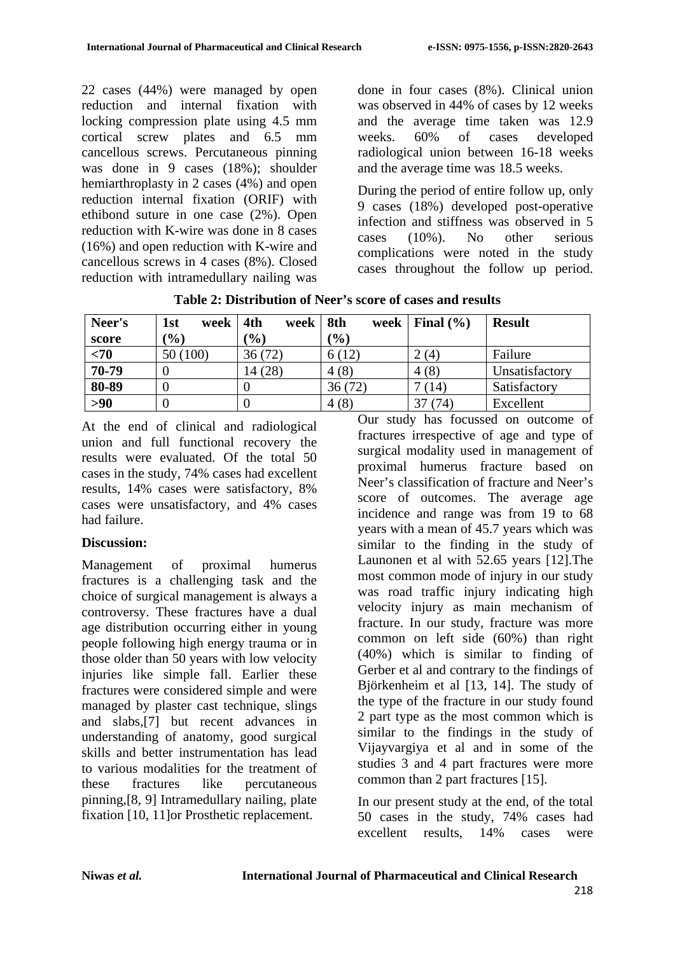22 cases (44%) were managed by open reduction and internal fixation with locking compression plate using 4.5 mm cortical screw plates and 6.5 mm cancellous screws. Percutaneous pinning was done in 9 cases (18%); shoulder hemiarthroplasty in 2 cases (4%) and open reduction internal fixation (ORIF) with ethibond suture in one case (2%). Open reduction with K-wire was done in 8 cases (16%) and open reduction with K-wire and cancellous screws in 4 cases (8%). Closed reduction with intramedullary nailing was done in four cases (8%). Clinical union was observed in 44% of cases by 12 weeks and the average time taken was 12.9 weeks. 60% of cases developed radiological union between 16-18 weeks and the average time was 18.5 weeks.

During the period of entire follow up, only 9 cases (18%) developed post-operative infection and stiffness was observed in 5 cases (10%). No other serious complications were noted in the study cases throughout the follow up period.

| Neer's | 1st<br>week | 4th<br>week | $\vert$ 8th<br>week | Final $(\% )$ | <b>Result</b>  |
|--------|-------------|-------------|---------------------|---------------|----------------|
| score  | (%)         | (%)         | $\mathcal{O}(6)$    |               |                |
| $70$   | 50 (100)    | 36(72)      | 6(12)               | 2(4)          | Failure        |
| 70-79  |             | 14 (28)     | 4(8)                | 4(8)          | Unsatisfactory |
| 80-89  |             |             | 36(72)              | (14)          | Satisfactory   |
| $>90$  |             |             | 4(8)                | (74)          | Excellent      |

**Table 2: Distribution of Neer's score of cases and results**

At the end of clinical and radiological union and full functional recovery the results were evaluated. Of the total 50 cases in the study, 74% cases had excellent results, 14% cases were satisfactory, 8% cases were unsatisfactory, and 4% cases had failure.

#### **Discussion:**

Management of proximal humerus fractures is a challenging task and the choice of surgical management is always a controversy. These fractures have a dual age distribution occurring either in young people following high energy trauma or in those older than 50 years with low velocity injuries like simple fall. Earlier these fractures were considered simple and were managed by plaster cast technique, slings and slabs,[7] but recent advances in understanding of anatomy, good surgical skills and better instrumentation has lead to various modalities for the treatment of these fractures like percutaneous pinning,[8, 9] Intramedullary nailing, plate fixation [10, 11]or Prosthetic replacement.

Our study has focussed on outcome of fractures irrespective of age and type of surgical modality used in management of proximal humerus fracture based on Neer's classification of fracture and Neer's score of outcomes. The average age incidence and range was from 19 to 68 years with a mean of 45.7 years which was similar to the finding in the study of Launonen et al with 52.65 years [12].The most common mode of injury in our study was road traffic injury indicating high velocity injury as main mechanism of fracture. In our study, fracture was more common on left side (60%) than right (40%) which is similar to finding of Gerber et al and contrary to the findings of Björkenheim et al [13, 14]. The study of the type of the fracture in our study found 2 part type as the most common which is similar to the findings in the study of Vijayvargiya et al and in some of the studies 3 and 4 part fractures were more common than 2 part fractures [15].

In our present study at the end, of the total 50 cases in the study, 74% cases had excellent results, 14% cases were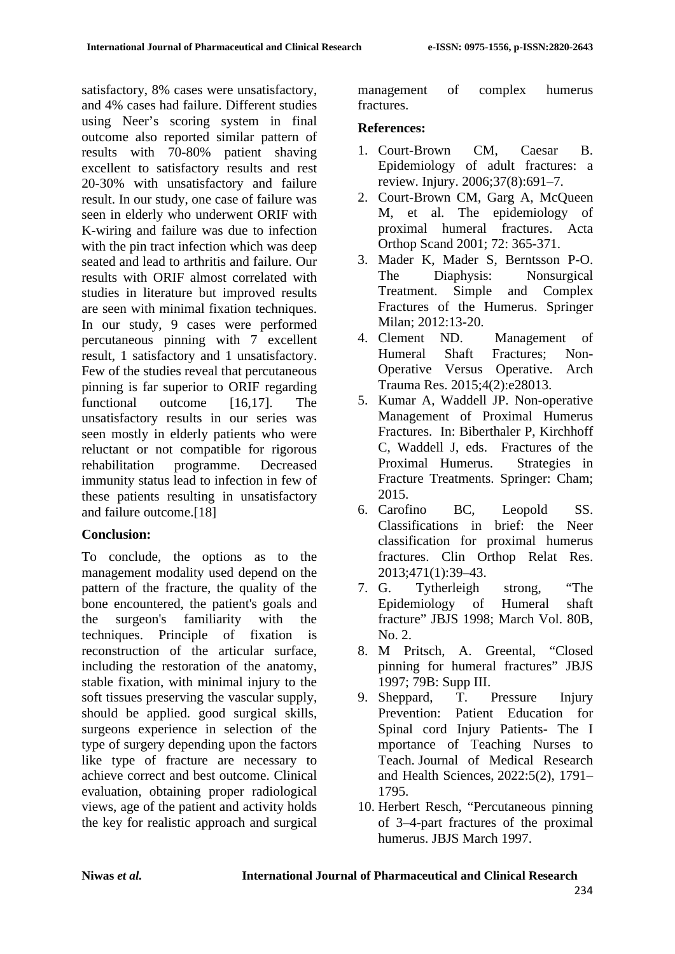satisfactory, 8% cases were unsatisfactory, and 4% cases had failure. Different studies using Neer's scoring system in final outcome also reported similar pattern of results with 70-80% patient shaving excellent to satisfactory results and rest 20-30% with unsatisfactory and failure result. In our study, one case of failure was seen in elderly who underwent ORIF with K-wiring and failure was due to infection with the pin tract infection which was deep seated and lead to arthritis and failure. Our results with ORIF almost correlated with studies in literature but improved results are seen with minimal fixation techniques. In our study, 9 cases were performed percutaneous pinning with 7 excellent result, 1 satisfactory and 1 unsatisfactory. Few of the studies reveal that percutaneous pinning is far superior to ORIF regarding functional outcome [16,17]. The unsatisfactory results in our series was seen mostly in elderly patients who were reluctant or not compatible for rigorous rehabilitation programme. Decreased immunity status lead to infection in few of these patients resulting in unsatisfactory and failure outcome.[18]

## **Conclusion:**

To conclude, the options as to the management modality used depend on the pattern of the fracture, the quality of the bone encountered, the patient's goals and the surgeon's familiarity with the techniques. Principle of fixation is reconstruction of the articular surface, including the restoration of the anatomy, stable fixation, with minimal injury to the soft tissues preserving the vascular supply, should be applied. good surgical skills, surgeons experience in selection of the type of surgery depending upon the factors like type of fracture are necessary to achieve correct and best outcome. Clinical evaluation, obtaining proper radiological views, age of the patient and activity holds the key for realistic approach and surgical management of complex humerus fractures.

### **References:**

- 1. Court-Brown CM, Caesar B. Epidemiology of adult fractures: a review. Injury. 2006;37(8):691–7.
- 2. Court-Brown CM, Garg A, McQueen M, et al. The epidemiology of proximal humeral fractures. Acta Orthop Scand 2001; 72: 365-371.
- 3. Mader K, Mader S, Berntsson P-O. The Diaphysis: Nonsurgical Treatment. Simple and Complex Fractures of the Humerus. Springer Milan; 2012:13-20.
- 4. Clement ND. Management of Humeral Shaft Fractures; Non-Operative Versus Operative. Arch Trauma Res. 2015;4(2):e28013.
- 5. Kumar A, Waddell JP. Non-operative Management of Proximal Humerus Fractures. In: Biberthaler P, Kirchhoff C, Waddell J, eds. Fractures of the Proximal Humerus. Strategies in Fracture Treatments. Springer: Cham; 2015.
- 6. Carofino BC, Leopold SS. Classifications in brief: the Neer classification for proximal humerus fractures. Clin Orthop Relat Res. 2013;471(1):39–43.
- 7. G. Tytherleigh strong, "The Epidemiology of Humeral shaft fracture" JBJS 1998; March Vol. 80B, No. 2.
- 8. M Pritsch, A. Greental, "Closed pinning for humeral fractures" JBJS 1997; 79B: Supp III.
- 9. Sheppard, T. Pressure Injury Prevention: Patient Education for Spinal cord Injury Patients- The I mportance of Teaching Nurses to Teach. Journal of Medical Research and Health Sciences, 2022:5(2), 1791– 1795.
- 10. Herbert Resch, "Percutaneous pinning of 3–4-part fractures of the proximal humerus. JBJS March 1997.